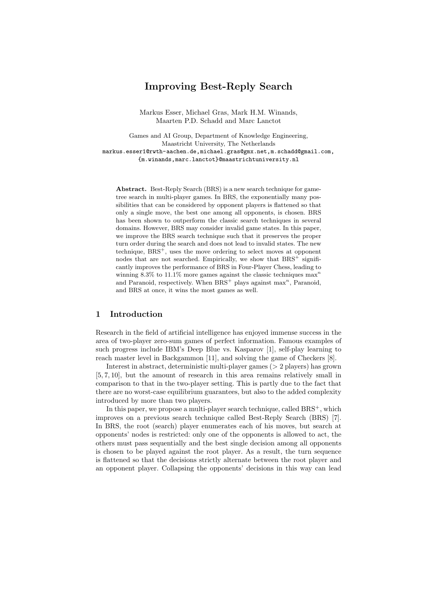# Improving Best-Reply Search

Markus Esser, Michael Gras, Mark H.M. Winands, Maarten P.D. Schadd and Marc Lanctot

Games and AI Group, Department of Knowledge Engineering, Maastricht University, The Netherlands markus.esser1@rwth-aachen.de,michael.gras@gmx.net,m.schadd@gmail.com, {m.winands,marc.lanctot}@maastrichtuniversity.nl

Abstract. Best-Reply Search (BRS) is a new search technique for gametree search in multi-player games. In BRS, the exponentially many possibilities that can be considered by opponent players is flattened so that only a single move, the best one among all opponents, is chosen. BRS has been shown to outperform the classic search techniques in several domains. However, BRS may consider invalid game states. In this paper, we improve the BRS search technique such that it preserves the proper turn order during the search and does not lead to invalid states. The new technique, BRS<sup>+</sup>, uses the move ordering to select moves at opponent nodes that are not searched. Empirically, we show that  $BRS^+$  significantly improves the performance of BRS in Four-Player Chess, leading to winning 8.3% to 11.1% more games against the classic techniques  $\max$ <sup>n</sup> and Paranoid, respectively. When  $BRS^+$  plays against max<sup>n</sup>, Paranoid, and BRS at once, it wins the most games as well.

# 1 Introduction

Research in the field of artificial intelligence has enjoyed immense success in the area of two-player zero-sum games of perfect information. Famous examples of such progress include IBM's Deep Blue vs. Kasparov [1], self-play learning to reach master level in Backgammon [11], and solving the game of Checkers [8].

Interest in abstract, deterministic multi-player games (> 2 players) has grown [5, 7, 10], but the amount of research in this area remains relatively small in comparison to that in the two-player setting. This is partly due to the fact that there are no worst-case equilibrium guarantees, but also to the added complexity introduced by more than two players.

In this paper, we propose a multi-player search technique, called  $BRS^+$ , which improves on a previous search technique called Best-Reply Search (BRS) [7]. In BRS, the root (search) player enumerates each of his moves, but search at opponents' nodes is restricted: only one of the opponents is allowed to act, the others must pass sequentially and the best single decision among all opponents is chosen to be played against the root player. As a result, the turn sequence is flattened so that the decisions strictly alternate between the root player and an opponent player. Collapsing the opponents' decisions in this way can lead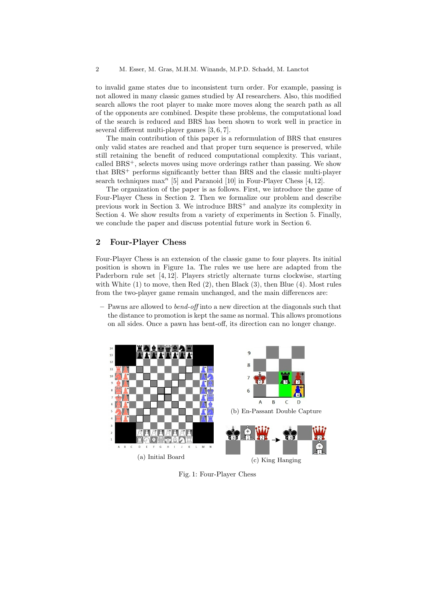to invalid game states due to inconsistent turn order. For example, passing is not allowed in many classic games studied by AI researchers. Also, this modified search allows the root player to make more moves along the search path as all of the opponents are combined. Despite these problems, the computational load of the search is reduced and BRS has been shown to work well in practice in several different multi-player games [3, 6, 7].

The main contribution of this paper is a reformulation of BRS that ensures only valid states are reached and that proper turn sequence is preserved, while still retaining the benefit of reduced computational complexity. This variant, called BRS+, selects moves using move orderings rather than passing. We show that BRS<sup>+</sup> performs significantly better than BRS and the classic multi-player search techniques max<sup>n</sup> [5] and Paranoid [10] in Four-Player Chess [4, 12].

The organization of the paper is as follows. First, we introduce the game of Four-Player Chess in Section 2. Then we formalize our problem and describe previous work in Section 3. We introduce BRS<sup>+</sup> and analyze its complexity in Section 4. We show results from a variety of experiments in Section 5. Finally, we conclude the paper and discuss potential future work in Section 6.

# 2 Four-Player Chess

Four-Player Chess is an extension of the classic game to four players. Its initial position is shown in Figure 1a. The rules we use here are adapted from the Paderborn rule set [4, 12]. Players strictly alternate turns clockwise, starting with White  $(1)$  to move, then Red  $(2)$ , then Black  $(3)$ , then Blue  $(4)$ . Most rules from the two-player game remain unchanged, and the main differences are:

 $-$  Pawns are allowed to *bend-off* into a new direction at the diagonals such that the distance to promotion is kept the same as normal. This allows promotions on all sides. Once a pawn has bent-off, its direction can no longer change.



Fig. 1: Four-Player Chess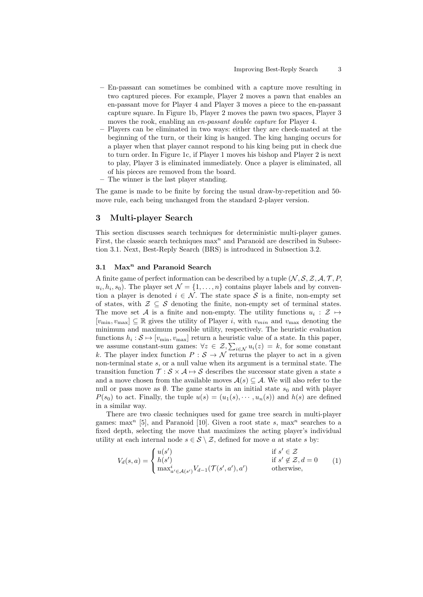- En-passant can sometimes be combined with a capture move resulting in two captured pieces. For example, Player 2 moves a pawn that enables an en-passant move for Player 4 and Player 3 moves a piece to the en-passant capture square. In Figure 1b, Player 2 moves the pawn two spaces, Player 3 moves the rook, enabling an en-passant double capture for Player 4.
- Players can be eliminated in two ways: either they are check-mated at the beginning of the turn, or their king is hanged. The king hanging occurs for a player when that player cannot respond to his king being put in check due to turn order. In Figure 1c, if Player 1 moves his bishop and Player 2 is next to play, Player 3 is eliminated immediately. Once a player is eliminated, all of his pieces are removed from the board.
- The winner is the last player standing.

The game is made to be finite by forcing the usual draw-by-repetition and 50 move rule, each being unchanged from the standard 2-player version.

## 3 Multi-player Search

This section discusses search techniques for deterministic multi-player games. First, the classic search techniques  $\max^n$  and Paranoid are described in Subsection 3.1. Next, Best-Reply Search (BRS) is introduced in Subsection 3.2.

# 3.1 Max $^n$  and Paranoid Search

A finite game of perfect information can be described by a tuple  $(N, S, Z, A, T, P, \mathbb{Z})$  $u_i, h_i, s_0$ ). The player set  $\mathcal{N} = \{1, \ldots, n\}$  contains player labels and by convention a player is denoted  $i \in \mathcal{N}$ . The state space S is a finite, non-empty set of states, with  $\mathcal{Z} \subseteq \mathcal{S}$  denoting the finite, non-empty set of terminal states. The move set A is a finite and non-empty. The utility functions  $u_i : \mathcal{Z} \mapsto$  $[v_{\min}, v_{\max}] \subseteq \mathbb{R}$  gives the utility of Player *i*, with  $v_{\min}$  and  $v_{\max}$  denoting the minimum and maximum possible utility, respectively. The heuristic evaluation functions  $h_i: \mathcal{S} \mapsto [v_{\min}, v_{\max}]$  return a heuristic value of a state. In this paper, we assume constant-sum games:  $\forall z \in \mathcal{Z}, \sum_{i \in \mathcal{N}} u_i(z) = k$ , for some constant k. The player index function  $P : \mathcal{S} \to \mathcal{N}$  returns the player to act in a given non-terminal state s, or a null value when its argument is a terminal state. The transition function  $\mathcal{T}: \mathcal{S} \times \mathcal{A} \mapsto \mathcal{S}$  describes the successor state given a state s and a move chosen from the available moves  $A(s) \subseteq A$ . We will also refer to the null or pass move as  $\emptyset$ . The game starts in an initial state  $s_0$  and with player  $P(s_0)$  to act. Finally, the tuple  $u(s) = (u_1(s), \dots, u_n(s))$  and  $h(s)$  are defined in a similar way.

There are two classic techniques used for game tree search in multi-player games: max<sup>n</sup> [5], and Paranoid [10]. Given a root state s, max<sup>n</sup> searches to a fixed depth, selecting the move that maximizes the acting player's individual utility at each internal node  $s \in \mathcal{S} \setminus \mathcal{Z}$ , defined for move a at state s by:

$$
V_d(s, a) = \begin{cases} u(s') & \text{if } s' \in \mathcal{Z} \\ h(s') & \text{if } s' \notin \mathcal{Z}, d = 0 \\ \max_{a' \in \mathcal{A}(s')} V_{d-1}(\mathcal{T}(s', a'), a') & \text{otherwise,} \end{cases}
$$
(1)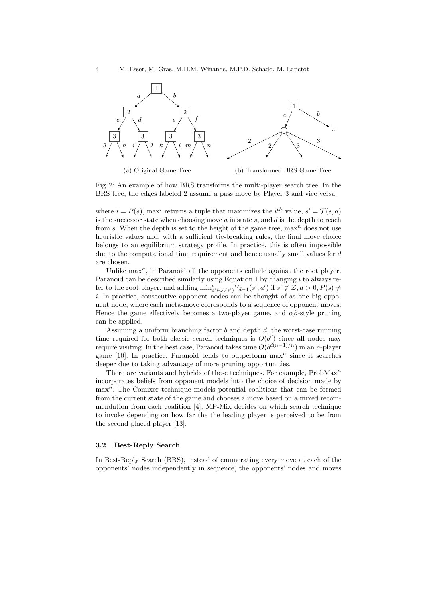

Fig. 2: An example of how BRS transforms the multi-player search tree. In the BRS tree, the edges labeled 2 assume a pass move by Player 3 and vice versa.

where  $i = P(s)$ , max<sup>i</sup> returns a tuple that maximizes the *i*<sup>th</sup> value,  $s' = \mathcal{T}(s, a)$ is the successor state when choosing move  $a$  in state  $s$ , and  $d$  is the depth to reach from s. When the depth is set to the height of the game tree,  $\max^n$  does not use heuristic values and, with a sufficient tie-breaking rules, the final move choice belongs to an equilibrium strategy profile. In practice, this is often impossible due to the computational time requirement and hence usually small values for d are chosen.

Unlike  $\max^n$ , in Paranoid all the opponents collude against the root player. Paranoid can be described similarly using Equation 1 by changing  $i$  to always refer to the root player, and adding  $\min_{a' \in \mathcal{A}(s')} V_{d-1}(s', a')$  if  $s' \notin \mathcal{Z}, d > 0, P(s) \neq$ i. In practice, consecutive opponent nodes can be thought of as one big opponent node, where each meta-move corresponds to a sequence of opponent moves. Hence the game effectively becomes a two-player game, and  $\alpha\beta$ -style pruning can be applied.

Assuming a uniform branching factor  $b$  and depth  $d$ , the worst-case running time required for both classic search techniques is  $O(b^d)$  since all nodes may require visiting. In the best case, Paranoid takes time  $O(b^{d(n-1)/n})$  in an n-player game [10]. In practice, Paranoid tends to outperform  $\max^n$  since it searches deeper due to taking advantage of more pruning opportunities.

There are variants and hybrids of these techniques. For example,  $Probability$ <sup>n</sup> incorporates beliefs from opponent models into the choice of decision made by  $\max^n$ . The Comixer technique models potential coalitions that can be formed from the current state of the game and chooses a move based on a mixed recommendation from each coalition [4]. MP-Mix decides on which search technique to invoke depending on how far the the leading player is perceived to be from the second placed player [13].

#### 3.2 Best-Reply Search

In Best-Reply Search (BRS), instead of enumerating every move at each of the opponents' nodes independently in sequence, the opponents' nodes and moves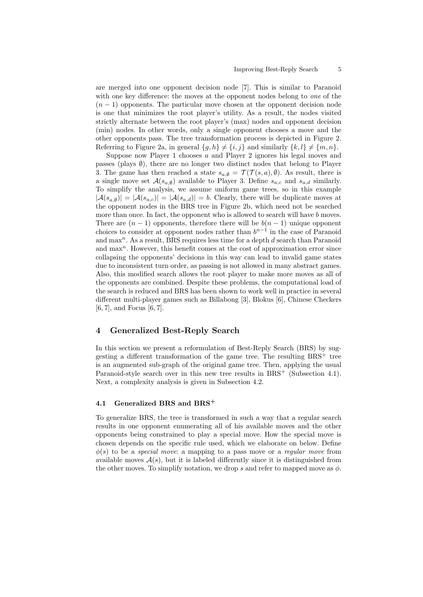are merged into one opponent decision node [7]. This is similar to Paranoid with one key difference: the moves at the opponent nodes belong to *one* of the  $(n-1)$  opponents. The particular move chosen at the opponent decision node is one that minimizes the root player's utility. As a result, the nodes visited strictly alternate between the root player's (max) nodes and opponent decision (min) nodes. In other words, only a single opponent chooses a move and the other opponents pass. The tree transformation process is depicted in Figure 2. Referring to Figure 2a, in general  $\{g, h\} \neq \{i, j\}$  and similarly  $\{k, l\} \neq \{m, n\}$ .

Suppose now Player 1 chooses a and Player 2 ignores his legal moves and passes (plays  $\emptyset$ ), there are no longer two distinct nodes that belong to Player 3. The game has then reached a state  $s_{a,\emptyset} = \mathcal{T}(\mathcal{T}(s,a),\emptyset)$ . As result, there is a single move set  $\mathcal{A}(s_{a,\emptyset})$  available to Player 3. Define  $s_{a,c}$  and  $s_{a,d}$  similarly. To simplify the analysis, we assume uniform game trees, so in this example  $|A(s_{a,\emptyset})| = |A(s_{a,c})| = |A(s_{a,d})| = b$ . Clearly, there will be duplicate moves at the opponent nodes in the BRS tree in Figure 2b, which need not be searched more than once. In fact, the opponent who is allowed to search will have b moves. There are  $(n-1)$  opponents, therefore there will be  $b(n-1)$  unique opponent choices to consider at opponent nodes rather than  $b^{n-1}$  in the case of Paranoid and  $\max$ <sup>n</sup>. As a result, BRS requires less time for a depth  $d$  search than Paranoid and  $\max$ <sup>n</sup>. However, this benefit comes at the cost of approximation error since collapsing the opponents' decisions in this way can lead to invalid game states due to inconsistent turn order, as passing is not allowed in many abstract games. Also, this modified search allows the root player to make more moves as all of the opponents are combined. Despite these problems, the computational load of the search is reduced and BRS has been shown to work well in practice in several different multi-player games such as Billabong [3], Blokus [6], Chinese Checkers [6, 7], and Focus [6, 7].

### 4 Generalized Best-Reply Search

In this section we present a reformulation of Best-Reply Search (BRS) by suggesting a different transformation of the game tree. The resulting  $BRS^+$  tree is an augmented sub-graph of the original game tree. Then, applying the usual Paranoid-style search over in this new tree results in BRS<sup>+</sup> (Subsection 4.1). Next, a complexity analysis is given in Subsection 4.2.

#### 4.1 Generalized BRS and BRS<sup>+</sup>

To generalize BRS, the tree is transformed in such a way that a regular search results in one opponent enumerating all of his available moves and the other opponents being constrained to play a special move. How the special move is chosen depends on the specific rule used, which we elaborate on below. Define  $\phi(s)$  to be a *special move*: a mapping to a pass move or a *regular move* from available moves  $A(s)$ , but it is labeled differently since it is distinguished from the other moves. To simplify notation, we drop s and refer to mapped move as  $\phi$ .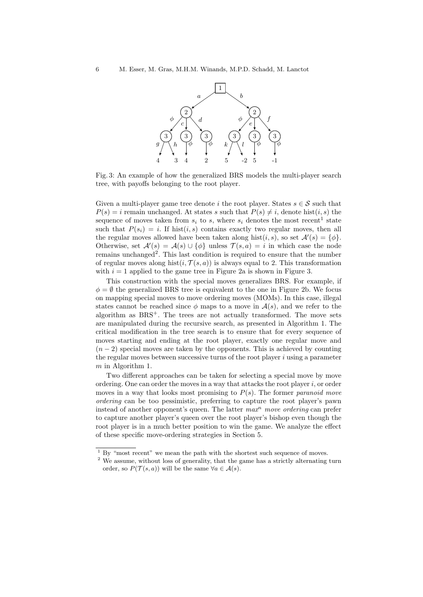

Fig. 3: An example of how the generalized BRS models the multi-player search tree, with payoffs belonging to the root player.

Given a multi-player game tree denote i the root player. States  $s \in \mathcal{S}$  such that  $P(s) = i$  remain unchanged. At states s such that  $P(s) \neq i$ , denote hist $(i, s)$  the sequence of moves taken from  $s_i$  to s, where  $s_i$  denotes the most recent<sup>1</sup> state such that  $P(s_i) = i$ . If hist $(i, s)$  contains exactly two regular moves, then all the regular moves allowed have been taken along hist $(i, s)$ , so set  $\mathcal{A}'(s) = {\phi}.$ Otherwise, set  $\mathcal{A}'(s) = \mathcal{A}(s) \cup {\phi}$  unless  $\mathcal{T}(s, a) = i$  in which case the node remains unchanged<sup>2</sup>. This last condition is required to ensure that the number of regular moves along hist $(i, \mathcal{T}(s, a))$  is always equal to 2. This transformation with  $i = 1$  applied to the game tree in Figure 2a is shown in Figure 3.

This construction with the special moves generalizes BRS. For example, if  $\phi = \emptyset$  the generalized BRS tree is equivalent to the one in Figure 2b. We focus on mapping special moves to move ordering moves (MOMs). In this case, illegal states cannot be reached since  $\phi$  maps to a move in  $\mathcal{A}(s)$ , and we refer to the algorithm as  $BRS^+$ . The trees are not actually transformed. The move sets are manipulated during the recursive search, as presented in Algorithm 1. The critical modification in the tree search is to ensure that for every sequence of moves starting and ending at the root player, exactly one regular move and  $(n-2)$  special moves are taken by the opponents. This is achieved by counting the regular moves between successive turns of the root player  $i$  using a parameter m in Algorithm 1.

Two different approaches can be taken for selecting a special move by move ordering. One can order the moves in a way that attacks the root player  $i$ , or order moves in a way that looks most promising to  $P(s)$ . The former paranoid move ordering can be too pessimistic, preferring to capture the root player's pawn instead of another opponent's queen. The latter  $max<sup>n</sup> move ordering$  can prefer to capture another player's queen over the root player's bishop even though the root player is in a much better position to win the game. We analyze the effect of these specific move-ordering strategies in Section 5.

 $1 By$  "most recent" we mean the path with the shortest such sequence of moves.

<sup>&</sup>lt;sup>2</sup> We assume, without loss of generality, that the game has a strictly alternating turn order, so  $P(\mathcal{T}(s, a))$  will be the same  $\forall a \in \mathcal{A}(s)$ .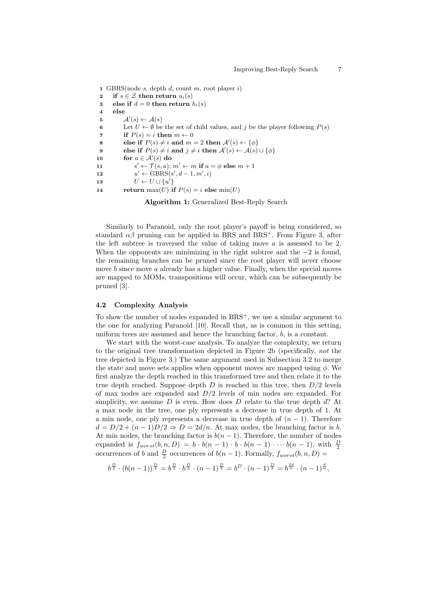1 GBRS(node  $s$ , depth  $d$ , count  $m$ , root player  $i$ ) 2 if  $s \in \mathcal{Z}$  then return  $u_i(s)$ 3 else if  $d = 0$  then return  $h_i(s)$ 4 else 5  $\mathcal{A}'(s) \leftarrow \mathcal{A}(s)$ 6 Let  $U \leftarrow \emptyset$  be the set of child values, and j be the player following  $P(s)$ 7 if  $P(s) = i$  then  $m \leftarrow 0$ 8 else if  $P(s) \neq i$  and  $m = 2$  then  $\mathcal{A}'(s) \leftarrow {\phi}$ 9 else if  $P(s) \neq i$  and  $j \neq i$  then  $\mathcal{A}'(s) \leftarrow \mathcal{A}(s) \cup \{\phi\}$ 10 for  $a \in \mathcal{A}'(s)$  do  $11$  $s' \leftarrow \mathcal{T}(s, a); m' \leftarrow m$  if  $a = \phi$  else  $m + 1$  $12$  $y' \leftarrow \text{GBRS}(s', d-1, m', i)$ 13  $U \leftarrow U \cup \{u'\}$ 14 return  $max(U)$  if  $P(s) = i$  else  $min(U)$ 

Algorithm 1: Generalized Best-Reply Search

Similarly to Paranoid, only the root player's payoff is being considered, so standard  $\alpha\beta$  pruning can be applied in BRS and BRS<sup>+</sup>. From Figure 3, after the left subtree is traversed the value of taking move  $a$  is assessed to be 2. When the opponents are minimizing in the right subtree and the  $-2$  is found, the remaining branches can be pruned since the root player will never choose move b since move a already has a higher value. Finally, when the special moves are mapped to MOMs, transpositions will occur, which can be subsequently be pruned [3].

#### 4.2 Complexity Analysis

To show the number of nodes expanded in  $BRS^+$ , we use a similar argument to the one for analyzing Paranoid [10]. Recall that, as is common in this setting, uniform trees are assumed and hence the branching factor,  $b$ , is a constant.

We start with the worst-case analysis. To analyze the complexity, we return to the original tree transformation depicted in Figure 2b (specifically, not the tree depicted in Figure 3.) The same argument used in Subsection 3.2 to merge the state and move sets applies when opponent moves are mapped using  $\phi$ . We first analyze the depth reached in this transformed tree and then relate it to the true depth reached. Suppose depth  $D$  is reached in this tree, then  $D/2$  levels of max nodes are expanded and  $D/2$  levels of min nodes are expanded. For simplicity, we assume D is even. How does D relate to the true depth  $d$ ? At a max node in the tree, one ply represents a decrease in true depth of 1. At a min node, one ply represents a decrease in true depth of  $(n - 1)$ . Therefore  $d = D/2 + (n-1)D/2 \Rightarrow D = 2d/n$ . At max nodes, the branching factor is b. At min nodes, the branching factor is  $b(n-1)$ . Therefore, the number of nodes expanded is  $f_{worst}(b, n, D) = b \cdot b(n - 1) \cdot b \cdot b(n - 1) \cdot \cdots \cdot b(n - 1)$ , with  $\frac{D}{2}$ occurrences of b and  $\frac{D}{2}$  occurrences of  $b(n-1)$ . Formally,  $f_{worst}(b, n, D)$  =

$$
b^{\frac{D}{2}} \cdot (b(n-1))^{\frac{D}{2}} = b^{\frac{D}{2}} \cdot b^{\frac{D}{2}} \cdot (n-1)^{\frac{D}{2}} = b^D \cdot (n-1)^{\frac{D}{2}} = b^{\frac{2d}{n}} \cdot (n-1)^{\frac{d}{n}},
$$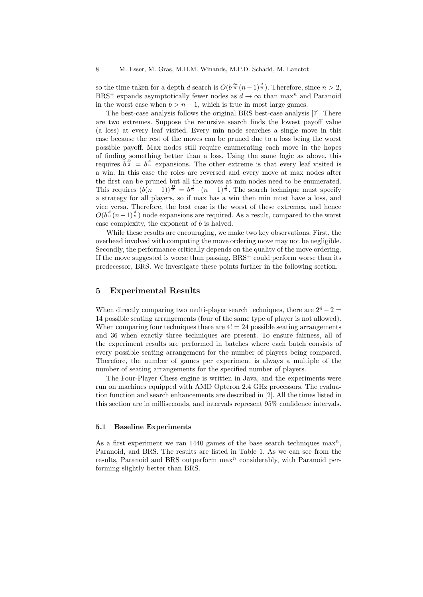so the time taken for a depth d search is  $O(b^{\frac{2d}{n}}(n-1)^{\frac{d}{n}})$ . Therefore, since  $n > 2$ , BRS<sup>+</sup> expands asymptotically fewer nodes as  $d \to \infty$  than max<sup>n</sup> and Paranoid in the worst case when  $b > n - 1$ , which is true in most large games.

The best-case analysis follows the original BRS best-case analysis [7]. There are two extremes. Suppose the recursive search finds the lowest payoff value (a loss) at every leaf visited. Every min node searches a single move in this case because the rest of the moves can be pruned due to a loss being the worst possible payoff. Max nodes still require enumerating each move in the hopes of finding something better than a loss. Using the same logic as above, this requires  $b^{\frac{D}{2}} = b^{\frac{d}{n}}$  expansions. The other extreme is that every leaf visited is a win. In this case the roles are reversed and every move at max nodes after the first can be pruned but all the moves at min nodes need to be enumerated. This requires  $(b(n-1))^{\frac{D}{2}} = b^{\frac{d}{n}} \cdot (n-1)^{\frac{d}{n}}$ . The search technique must specify a strategy for all players, so if max has a win then min must have a loss, and vice versa. Therefore, the best case is the worst of these extremes, and hence  $O(b^{\frac{d}{n}}(n-1)^{\frac{d}{n}})$  node expansions are required. As a result, compared to the worst case complexity, the exponent of  $b$  is halved.

While these results are encouraging, we make two key observations. First, the overhead involved with computing the move ordering move may not be negligible. Secondly, the performance critically depends on the quality of the move ordering. If the move suggested is worse than passing,  $BRS^+$  could perform worse than its predecessor, BRS. We investigate these points further in the following section.

# 5 Experimental Results

When directly comparing two multi-player search techniques, there are  $2^4 - 2 =$ 14 possible seating arrangements (four of the same type of player is not allowed). When comparing four techniques there are  $4! = 24$  possible seating arrangements and 36 when exactly three techniques are present. To ensure fairness, all of the experiment results are performed in batches where each batch consists of every possible seating arrangement for the number of players being compared. Therefore, the number of games per experiment is always a multiple of the number of seating arrangements for the specified number of players.

The Four-Player Chess engine is written in Java, and the experiments were run on machines equipped with AMD Opteron 2.4 GHz processors. The evaluation function and search enhancements are described in [2]. All the times listed in this section are in milliseconds, and intervals represent 95% confidence intervals.

#### 5.1 Baseline Experiments

As a first experiment we ran 1440 games of the base search techniques  $\max^n$ , Paranoid, and BRS. The results are listed in Table 1. As we can see from the results, Paranoid and BRS outperform  $max<sup>n</sup>$  considerably, with Paranoid performing slightly better than BRS.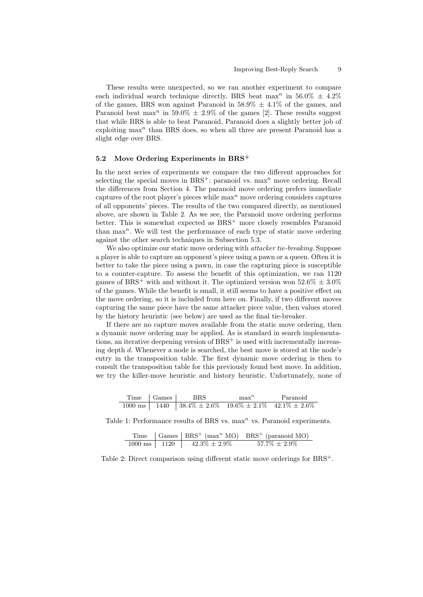These results were unexpected, so we ran another experiment to compare each individual search technique directly. BRS beat max<sup>n</sup> in 56.0%  $\pm$  4.2% of the games, BRS won against Paranoid in  $58.9\% \pm 4.1\%$  of the games, and Paranoid beat max<sup>n</sup> in 59.0%  $\pm$  2.9% of the games [2]. These results suggest that while BRS is able to beat Paranoid, Paranoid does a slightly better job of exploiting  $max<sup>n</sup>$  than BRS does, so when all three are present Paranoid has a slight edge over BRS.

#### 5.2 Move Ordering Experiments in BRS<sup>+</sup>

In the next series of experiments we compare the two different approaches for selecting the special moves in  $BRS^+$ : paranoid vs.  $\max^n$  move ordering. Recall the differences from Section 4. The paranoid move ordering prefers immediate captures of the root player's pieces while  $\max^n$  move ordering considers captures of all opponents' pieces. The results of the two compared directly, as mentioned above, are shown in Table 2. As we see, the Paranoid move ordering performs better. This is somewhat expected as BRS<sup>+</sup> more closely resembles Paranoid than  $\max^n$ . We will test the performance of each type of static move ordering against the other search techniques in Subsection 5.3.

We also optimize our static move ordering with *attacker tie-breaking*. Suppose a player is able to capture an opponent's piece using a pawn or a queen. Often it is better to take the piece using a pawn, in case the capturing piece is susceptible to a counter-capture. To assess the benefit of this optimization, we ran 1120 games of BRS<sup>+</sup> with and without it. The optimized version won  $52.6\% \pm 3.0\%$ of the games. While the benefit is small, it still seems to have a positive effect on the move ordering, so it is included from here on. Finally, if two different moves capturing the same piece have the same attacker piece value, then values stored by the history heuristic (see below) are used as the final tie-breaker.

If there are no capture moves available from the static move ordering, then a dynamic move ordering may be applied. As is standard in search implementations, an iterative deepening version of  $BRS^+$  is used with incrementally increasing depth d. Whenever a node is searched, the best move is stored at the node's entry in the transposition table. The first dynamic move ordering is then to consult the transposition table for this previously found best move. In addition, we try the killer-move heuristic and history heuristic. Unfortunately, none of

| Time Games | <b>BRS</b>                                                             | max <sup>n</sup> | Paranoid |
|------------|------------------------------------------------------------------------|------------------|----------|
|            | 1000 ms   1440   38.4% $\pm 2.6\%$ 19.6% $\pm 2.1\%$ 42.1% $\pm 2.6\%$ |                  |          |

Table 1: Performance results of BRS vs.  $max<sup>n</sup>$  vs. Paranoid experiments.

|                          |                    | Time $\int$ Games $\int$ BRS <sup>+</sup> (max <sup>n</sup> MO) BRS <sup>+</sup> (paranoid MO) |
|--------------------------|--------------------|------------------------------------------------------------------------------------------------|
| $1000 \text{ ms}$   1120 | $42.3\% \pm 2.9\%$ | $57.7\% \pm 2.9\%$                                                                             |

Table 2: Direct comparison using different static move orderings for BRS<sup>+</sup>.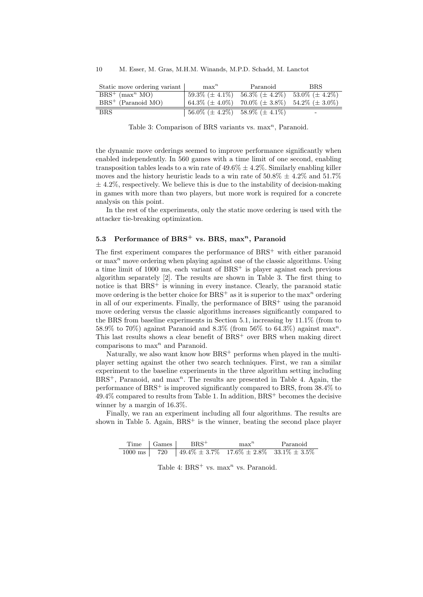| Static move ordering variant  | $\max^n$                                 | Paranoid                                                      | <b>BRS</b>               |
|-------------------------------|------------------------------------------|---------------------------------------------------------------|--------------------------|
| $BRS^+$ (max <sup>n</sup> MO) | $59.3\%~(\pm~4.1\%)$                     | $56.3\%~(\pm 4.2\%)$ $53.0\%~(\pm 4.2\%)$                     |                          |
| $BRS^+$ (Paranoid MO)         |                                          | $(64.3\% (\pm 4.0\%)$ 70.0% $(\pm 3.8\%)$ 54.2% $(\pm 3.0\%)$ |                          |
| <b>BRS</b>                    | $156.0\%~(\pm 4.2\%)~58.9\%~(\pm 4.1\%)$ |                                                               | $\overline{\phantom{0}}$ |

Table 3: Comparison of BRS variants vs.  $max<sup>n</sup>$ , Paranoid.

the dynamic move orderings seemed to improve performance significantly when enabled independently. In 560 games with a time limit of one second, enabling transposition tables leads to a win rate of  $49.6\% \pm 4.2\%$ . Similarly enabling killer moves and the history heuristic leads to a win rate of  $50.8\% \pm 4.2\%$  and  $51.7\%$  $\pm$  4.2%, respectively. We believe this is due to the instability of decision-making in games with more than two players, but more work is required for a concrete analysis on this point.

In the rest of the experiments, only the static move ordering is used with the attacker tie-breaking optimization.

# 5.3 Performance of BRS<sup>+</sup> vs. BRS, max<sup>n</sup>, Paranoid

The first experiment compares the performance of  $BRS^+$  with either paranoid or  $\max$ <sup>n</sup> move ordering when playing against one of the classic algorithms. Using a time limit of  $1000$  ms, each variant of  $BRS^+$  is player against each previous algorithm separately [2]. The results are shown in Table 3. The first thing to notice is that  $BRS^+$  is winning in every instance. Clearly, the paranoid static move ordering is the better choice for  $BRS^+$  as it is superior to the max<sup>n</sup> ordering in all of our experiments. Finally, the performance of  $BRS^+$  using the paranoid move ordering versus the classic algorithms increases significantly compared to the BRS from baseline experiments in Section 5.1, increasing by 11.1% (from to 58.9% to 70%) against Paranoid and 8.3% (from 56% to 64.3%) against max<sup>n</sup>. This last results shows a clear benefit of  $BRS^+$  over BRS when making direct comparisons to  $\max^n$  and Paranoid.

Naturally, we also want know how  $BRS^+$  performs when played in the multiplayer setting against the other two search techniques. First, we ran a similar experiment to the baseline experiments in the three algorithm setting including  $BRS^+$ , Paranoid, and max<sup>n</sup>. The results are presented in Table 4. Again, the performance of BRS<sup>+</sup> is improved significantly compared to BRS, from 38.4% to  $49.4\%$  compared to results from Table 1. In addition, BRS<sup>+</sup> becomes the decisive winner by a margin of 16.3%.

Finally, we ran an experiment including all four algorithms. The results are shown in Table 5. Again,  $BRS^+$  is the winner, beating the second place player

|  | $Time \mid Games \mid BRS^+$                                               | max <sup>n</sup> | Paranoid |
|--|----------------------------------------------------------------------------|------------------|----------|
|  | 1000 ms   $720$   $49.4\% \pm 3.7\%$ 17.6\% $\pm 2.8\%$ 33.1\% $\pm 3.5\%$ |                  |          |

Table 4:  $BRS^+$  vs. max<sup>n</sup> vs. Paranoid.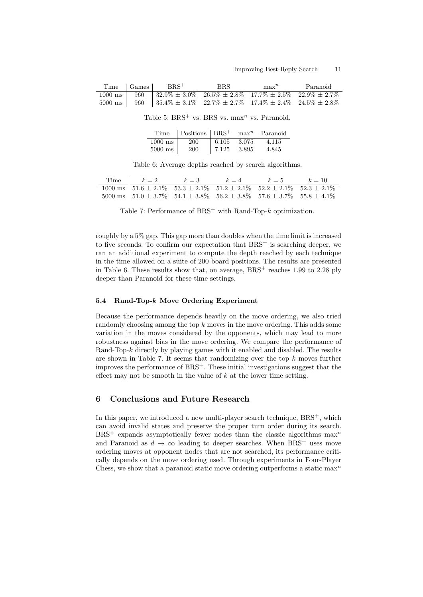|                                                             |  | Time   Games   BRS <sup>+</sup>                                                                   | BBS |  | $\max^n$ Paranoid |  |
|-------------------------------------------------------------|--|---------------------------------------------------------------------------------------------------|-----|--|-------------------|--|
|                                                             |  | 1000 ms   960   32.9% $\pm$ 3.0% $26.5\% \pm 2.8\%$ 17.7% $\pm$ 2.5% 22.9% $\pm$ 2.7%             |     |  |                   |  |
|                                                             |  | $5000 \text{ ms}$ 960 $35.4\% \pm 3.1\%$ 22.7\% $\pm 2.7\%$ 17.4\% $\pm 2.4\%$ 24.5\% $\pm 2.8\%$ |     |  |                   |  |
| Table 5: $BRS^+$ vs. BRS vs. max <sup>n</sup> vs. Paranoid. |  |                                                                                                   |     |  |                   |  |

| Time              | $\sqrt{\text{Positions}}$ $\overline{\text{BRS}}^+$ max <sup>n</sup> Paranoid |             |       |
|-------------------|-------------------------------------------------------------------------------|-------------|-------|
| $1000 \text{ ms}$ | <b>200</b>                                                                    | 6.105 3.075 | 4.115 |
| $5000$ ms         | <b>200</b>                                                                    | 7.125 3.895 | 4.845 |

Table 6: Average depths reached by search algorithms.

| Time $k=2$ $k=3$                                                                                                 | $k=4$ | $k=5$ $k=10$ |  |
|------------------------------------------------------------------------------------------------------------------|-------|--------------|--|
| $1000 \text{ ms}$   $51.6 \pm 2.1\%$   $53.3 \pm 2.1\%$   $51.2 \pm 2.1\%$   $52.2 \pm 2.1\%$   $52.3 \pm 2.1\%$ |       |              |  |
| $5000 \text{ ms}$ $\mid 51.0 \pm 3.7\%$ $54.1 \pm 3.8\%$ $56.2 \pm 3.8\%$ $57.6 \pm 3.7\%$ $55.8 \pm 4.1\%$      |       |              |  |

Table 7: Performance of  $BRS^+$  with Rand-Top- $k$  optimization.

roughly by a 5% gap. This gap more than doubles when the time limit is increased to five seconds. To confirm our expectation that  $BRS^+$  is searching deeper, we ran an additional experiment to compute the depth reached by each technique in the time allowed on a suite of 200 board positions. The results are presented in Table 6. These results show that, on average,  $BRS^+$  reaches 1.99 to 2.28 ply deeper than Paranoid for these time settings.

#### 5.4 Rand-Top-k Move Ordering Experiment

Because the performance depends heavily on the move ordering, we also tried randomly choosing among the top k moves in the move ordering. This adds some variation in the moves considered by the opponents, which may lead to more robustness against bias in the move ordering. We compare the performance of Rand-Top-k directly by playing games with it enabled and disabled. The results are shown in Table 7. It seems that randomizing over the top  $k$  moves further improves the performance of  $BRS^+$ . These initial investigations suggest that the effect may not be smooth in the value of  $k$  at the lower time setting.

# 6 Conclusions and Future Research

In this paper, we introduced a new multi-player search technique,  $BRS^+$ , which can avoid invalid states and preserve the proper turn order during its search.  $BRS^+$  expands asymptotically fewer nodes than the classic algorithms  $max<sup>n</sup>$ and Paranoid as  $d \to \infty$  leading to deeper searches. When BRS<sup>+</sup> uses move ordering moves at opponent nodes that are not searched, its performance critically depends on the move ordering used. Through experiments in Four-Player Chess, we show that a paranoid static move ordering outperforms a static  $\max^n$